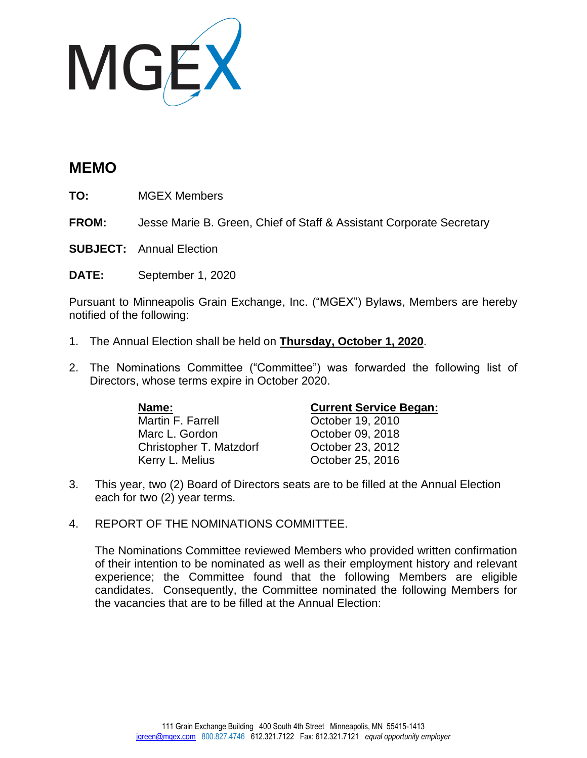

## **MEMO**

**TO:** MGEX Members

**FROM:** Jesse Marie B. Green, Chief of Staff & Assistant Corporate Secretary

**SUBJECT:** Annual Election

**DATE:** September 1, 2020

Pursuant to Minneapolis Grain Exchange, Inc. ("MGEX") Bylaws, Members are hereby notified of the following:

- 1. The Annual Election shall be held on **Thursday, October 1, 2020**.
- 2. The Nominations Committee ("Committee") was forwarded the following list of Directors, whose terms expire in October 2020.

Martin F. Farrell **Carries** Cotober 19, 2010 Marc L. Gordon **Carlo Corporation** October 09, 2018 Christopher T. Matzdorf Cotober 23, 2012 Kerry L. Melius **Carry L. Melius** October 25, 2016

## **Name: Current Service Began:**

- 3. This year, two (2) Board of Directors seats are to be filled at the Annual Election each for two (2) year terms.
- 4. REPORT OF THE NOMINATIONS COMMITTEE.

The Nominations Committee reviewed Members who provided written confirmation of their intention to be nominated as well as their employment history and relevant experience; the Committee found that the following Members are eligible candidates. Consequently, the Committee nominated the following Members for the vacancies that are to be filled at the Annual Election: